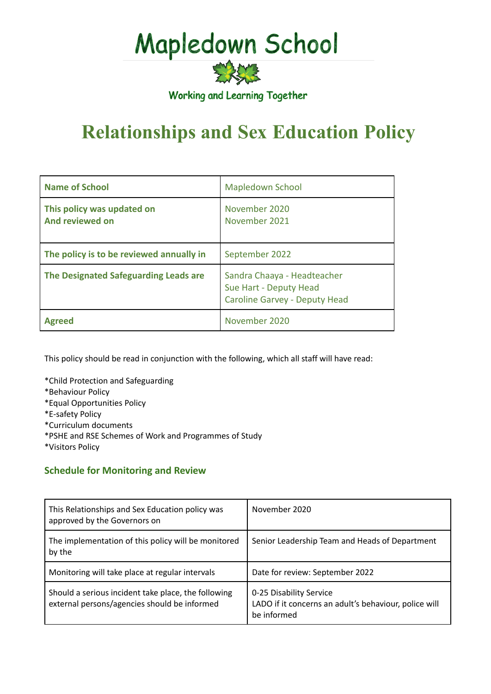# Mapledown School

实验室 Working and Learning Together

# **Relationships and Sex Education Policy**

| <b>Name of School</b>                         | <b>Mapledown School</b>                                                                       |
|-----------------------------------------------|-----------------------------------------------------------------------------------------------|
| This policy was updated on<br>And reviewed on | November 2020<br>November 2021                                                                |
| The policy is to be reviewed annually in      | September 2022                                                                                |
| The Designated Safeguarding Leads are         | Sandra Chaaya - Headteacher<br>Sue Hart - Deputy Head<br><b>Caroline Garvey - Deputy Head</b> |
| <b>Agreed</b>                                 | November 2020                                                                                 |

This policy should be read in conjunction with the following, which all staff will have read:

\*Child Protection and Safeguarding

\*Behaviour Policy

- \*Equal Opportunities Policy
- \*E-safety Policy
- \*Curriculum documents
- \*PSHE and RSE Schemes of Work and Programmes of Study

\*Visitors Policy

# **Schedule for Monitoring and Review**

| This Relationships and Sex Education policy was<br>approved by the Governors on                     | November 2020                                                                                   |
|-----------------------------------------------------------------------------------------------------|-------------------------------------------------------------------------------------------------|
| The implementation of this policy will be monitored<br>by the                                       | Senior Leadership Team and Heads of Department                                                  |
| Monitoring will take place at regular intervals                                                     | Date for review: September 2022                                                                 |
| Should a serious incident take place, the following<br>external persons/agencies should be informed | 0-25 Disability Service<br>LADO if it concerns an adult's behaviour, police will<br>be informed |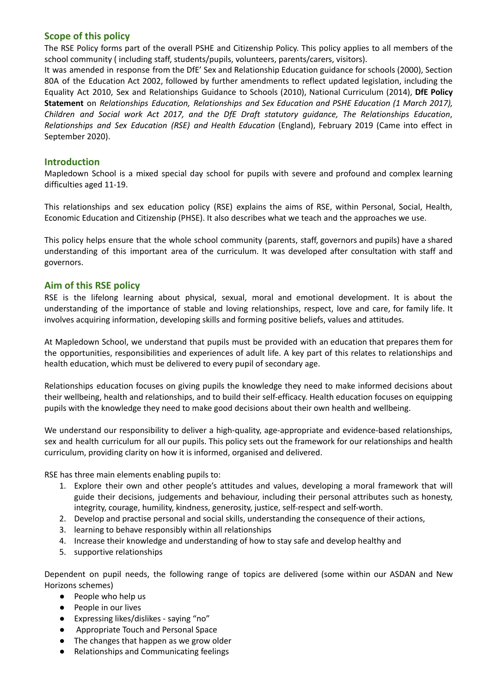# **Scope of this policy**

The RSE Policy forms part of the overall PSHE and Citizenship Policy. This policy applies to all members of the school community ( including staff, students/pupils, volunteers, parents/carers, visitors).

It was amended in response from the DfE' Sex and Relationship Education guidance for schools (2000), Section 80A of the Education Act 2002, followed by further amendments to reflect updated legislation, including the Equality Act 2010, Sex and Relationships Guidance to Schools (2010), National Curriculum (2014), **DfE Policy Statement** on *Relationships Education, Relationships and Sex Education and PSHE Education (1 March 2017), Children and Social work Act 2017, and the DfE Draft statutory guidance, The Relationships Education*, *Relationships and Sex Education (RSE) and Health Education* (England), February 2019 (Came into effect in September 2020).

#### **Introduction**

Mapledown School is a mixed special day school for pupils with severe and profound and complex learning difficulties aged 11-19.

This relationships and sex education policy (RSE) explains the aims of RSE, within Personal, Social, Health, Economic Education and Citizenship (PHSE). It also describes what we teach and the approaches we use.

This policy helps ensure that the whole school community (parents, staff, governors and pupils) have a shared understanding of this important area of the curriculum. It was developed after consultation with staff and governors.

#### **Aim of this RSE policy**

RSE is the lifelong learning about physical, sexual, moral and emotional development. It is about the understanding of the importance of stable and loving relationships, respect, love and care, for family life. It involves acquiring information, developing skills and forming positive beliefs, values and attitudes.

At Mapledown School, we understand that pupils must be provided with an education that prepares them for the opportunities, responsibilities and experiences of adult life. A key part of this relates to relationships and health education, which must be delivered to every pupil of secondary age.

Relationships education focuses on giving pupils the knowledge they need to make informed decisions about their wellbeing, health and relationships, and to build their self-efficacy. Health education focuses on equipping pupils with the knowledge they need to make good decisions about their own health and wellbeing.

We understand our responsibility to deliver a high-quality, age-appropriate and evidence-based relationships, sex and health curriculum for all our pupils. This policy sets out the framework for our relationships and health curriculum, providing clarity on how it is informed, organised and delivered.

RSE has three main elements enabling pupils to:

- 1. Explore their own and other people's attitudes and values, developing a moral framework that will guide their decisions, judgements and behaviour, including their personal attributes such as honesty, integrity, courage, humility, kindness, generosity, justice, self-respect and self-worth.
- 2. Develop and practise personal and social skills, understanding the consequence of their actions,
- 3. learning to behave responsibly within all relationships
- 4. Increase their knowledge and understanding of how to stay safe and develop healthy and
- 5. supportive relationships

Dependent on pupil needs, the following range of topics are delivered (some within our ASDAN and New Horizons schemes)

- People who help us
- People in our lives
- Expressing likes/dislikes saying "no"
- Appropriate Touch and Personal Space
- The changes that happen as we grow older
- Relationships and Communicating feelings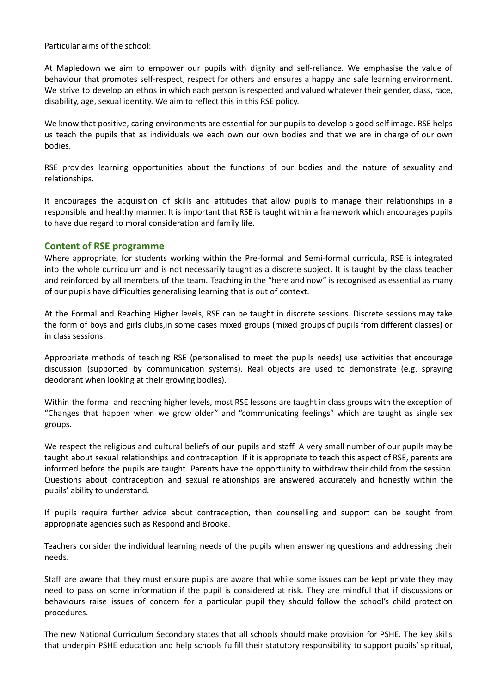Particular aims of the school:

At Mapledown we aim to empower our pupils with dignity and self-reliance. We emphasise the value of behaviour that promotes self-respect, respect for others and ensures a happy and safe learning environment. We strive to develop an ethos in which each person is respected and valued whatever their gender, class, race, disability, age, sexual identity. We aim to reflect this in this RSE policy.

We know that positive, caring environments are essential for our pupils to develop a good self image. RSE helps us teach the pupils that as individuals we each own our own bodies and that we are in charge of our own bodies.

RSE provides learning opportunities about the functions of our bodies and the nature of sexuality and relationships.

It encourages the acquisition of skills and attitudes that allow pupils to manage their relationships in a responsible and healthy manner. It is important that RSE is taught within a framework which encourages pupils to have due regard to moral consideration and family life.

#### **Content of RSE programme**

Where appropriate, for students working within the Pre-formal and Semi-formal curricula, RSE is integrated into the whole curriculum and is not necessarily taught as a discrete subject. It is taught by the class teacher and reinforced by all members of the team. Teaching in the "here and now" is recognised as essential as many of our pupils have difficulties generalising learning that is out of context.

At the Formal and Reaching Higher levels, RSE can be taught in discrete sessions. Discrete sessions may take the form of boys and girls clubs,in some cases mixed groups (mixed groups of pupils from different classes) or in class sessions.

Appropriate methods of teaching RSE (personalised to meet the pupils needs) use activities that encourage discussion (supported by communication systems). Real objects are used to demonstrate (e.g. spraying deodorant when looking at their growing bodies).

Within the formal and reaching higher levels, most RSE lessons are taught in class groups with the exception of "Changes that happen when we grow older" and "communicating feelings" which are taught as single sex groups.

We respect the religious and cultural beliefs of our pupils and staff. A very small number of our pupils may be taught about sexual relationships and contraception. If it is appropriate to teach this aspect of RSE, parents are informed before the pupils are taught. Parents have the opportunity to withdraw their child from the session. Questions about contraception and sexual relationships are answered accurately and honestly within the pupils' ability to understand.

If pupils require further advice about contraception, then counselling and support can be sought from appropriate agencies such as Respond and Brooke.

Teachers consider the individual learning needs of the pupils when answering questions and addressing their needs.

Staff are aware that they must ensure pupils are aware that while some issues can be kept private they may need to pass on some information if the pupil is considered at risk. They are mindful that if discussions or behaviours raise issues of concern for a particular pupil they should follow the school's child protection procedures.

The new National Curriculum Secondary states that all schools should make provision for PSHE. The key skills that underpin PSHE education and help schools fulfill their statutory responsibility to support pupils' spiritual,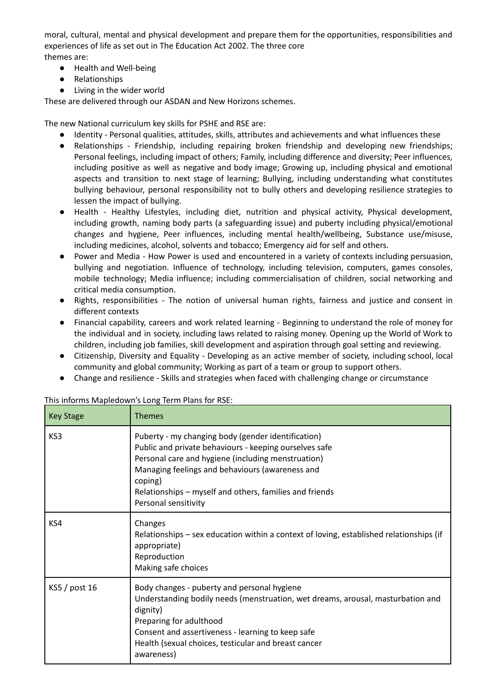moral, cultural, mental and physical development and prepare them for the opportunities, responsibilities and experiences of life as set out in The Education Act 2002. The three core themes are:

- Health and Well-being
- Relationships
- Living in the wider world

These are delivered through our ASDAN and New Horizons schemes.

The new National curriculum key skills for PSHE and RSE are:

- Identity Personal qualities, attitudes, skills, attributes and achievements and what influences these
- Relationships Friendship, including repairing broken friendship and developing new friendships; Personal feelings, including impact of others; Family, including difference and diversity; Peer influences, including positive as well as negative and body image; Growing up, including physical and emotional aspects and transition to next stage of learning; Bullying, including understanding what constitutes bullying behaviour, personal responsibility not to bully others and developing resilience strategies to lessen the impact of bullying.
- Health Healthy Lifestyles, including diet, nutrition and physical activity, Physical development, including growth, naming body parts (a safeguarding issue) and puberty including physical/emotional changes and hygiene, Peer influences, including mental health/wellbeing, Substance use/misuse, including medicines, alcohol, solvents and tobacco; Emergency aid for self and others.
- Power and Media How Power is used and encountered in a variety of contexts including persuasion, bullying and negotiation. Influence of technology, including television, computers, games consoles, mobile technology; Media influence; including commercialisation of children, social networking and critical media consumption.
- Rights, responsibilities The notion of universal human rights, fairness and justice and consent in different contexts
- Financial capability, careers and work related learning Beginning to understand the role of money for the individual and in society, including laws related to raising money. Opening up the World of Work to children, including job families, skill development and aspiration through goal setting and reviewing.
- Citizenship, Diversity and Equality Developing as an active member of society, including school, local community and global community; Working as part of a team or group to support others.
- Change and resilience Skills and strategies when faced with challenging change or circumstance

| <b>Key Stage</b> | Themes                                                                                                                                                                                                                                                                                                              |
|------------------|---------------------------------------------------------------------------------------------------------------------------------------------------------------------------------------------------------------------------------------------------------------------------------------------------------------------|
| KS3              | Puberty - my changing body (gender identification)<br>Public and private behaviours - keeping ourselves safe<br>Personal care and hygiene (including menstruation)<br>Managing feelings and behaviours (awareness and<br>coping)<br>Relationships – myself and others, families and friends<br>Personal sensitivity |
| KS4              | Changes<br>Relationships – sex education within a context of loving, established relationships (if<br>appropriate)<br>Reproduction<br>Making safe choices                                                                                                                                                           |
| $KS5$ / post 16  | Body changes - puberty and personal hygiene<br>Understanding bodily needs (menstruation, wet dreams, arousal, masturbation and<br>dignity)<br>Preparing for adulthood<br>Consent and assertiveness - learning to keep safe<br>Health (sexual choices, testicular and breast cancer<br>awareness)                    |

This informs Mapledown's Long Term Plans for RSE: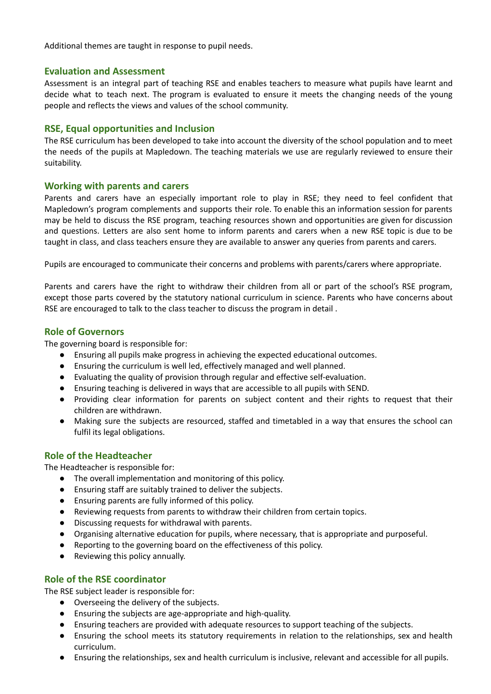Additional themes are taught in response to pupil needs.

#### **Evaluation and Assessment**

Assessment is an integral part of teaching RSE and enables teachers to measure what pupils have learnt and decide what to teach next. The program is evaluated to ensure it meets the changing needs of the young people and reflects the views and values of the school community.

#### **RSE, Equal opportunities and Inclusion**

The RSE curriculum has been developed to take into account the diversity of the school population and to meet the needs of the pupils at Mapledown. The teaching materials we use are regularly reviewed to ensure their suitability.

#### **Working with parents and carers**

Parents and carers have an especially important role to play in RSE; they need to feel confident that Mapledown's program complements and supports their role. To enable this an information session for parents may be held to discuss the RSE program, teaching resources shown and opportunities are given for discussion and questions. Letters are also sent home to inform parents and carers when a new RSE topic is due to be taught in class, and class teachers ensure they are available to answer any queries from parents and carers.

Pupils are encouraged to communicate their concerns and problems with parents/carers where appropriate.

Parents and carers have the right to withdraw their children from all or part of the school's RSE program, except those parts covered by the statutory national curriculum in science. Parents who have concerns about RSE are encouraged to talk to the class teacher to discuss the program in detail .

#### **Role of Governors**

The governing board is responsible for:

- Ensuring all pupils make progress in achieving the expected educational outcomes.
- Ensuring the curriculum is well led, effectively managed and well planned.
- Evaluating the quality of provision through regular and effective self-evaluation.
- Ensuring teaching is delivered in ways that are accessible to all pupils with SEND.
- Providing clear information for parents on subject content and their rights to request that their children are withdrawn.
- Making sure the subjects are resourced, staffed and timetabled in a way that ensures the school can fulfil its legal obligations.

## **Role of the Headteacher**

The Headteacher is responsible for:

- The overall implementation and monitoring of this policy.
- Ensuring staff are suitably trained to deliver the subjects.
- Ensuring parents are fully informed of this policy.
- Reviewing requests from parents to withdraw their children from certain topics.
- Discussing requests for withdrawal with parents.
- Organising alternative education for pupils, where necessary, that is appropriate and purposeful.
- Reporting to the governing board on the effectiveness of this policy.
- Reviewing this policy annually.

## **Role of the RSE coordinator**

The RSE subject leader is responsible for:

- Overseeing the delivery of the subjects.
- Ensuring the subjects are age-appropriate and high-quality.
- Ensuring teachers are provided with adequate resources to support teaching of the subjects.
- Ensuring the school meets its statutory requirements in relation to the relationships, sex and health curriculum.
- Ensuring the relationships, sex and health curriculum is inclusive, relevant and accessible for all pupils.